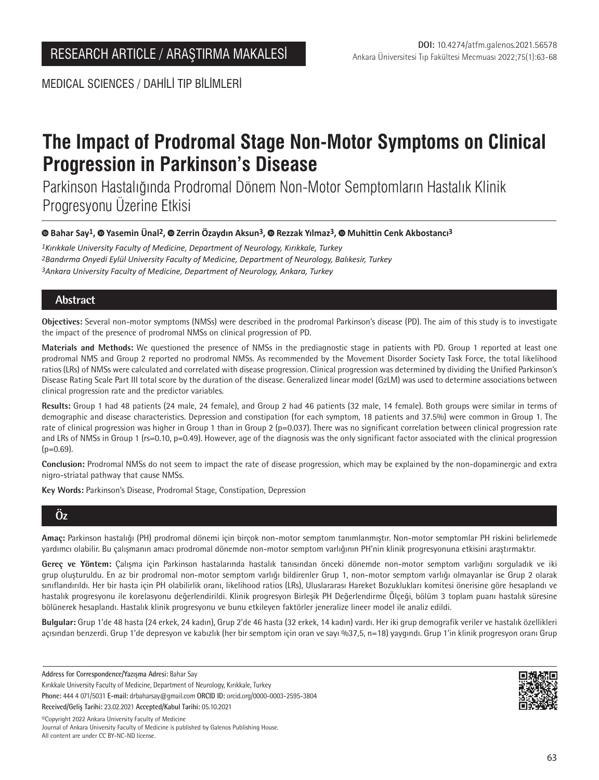MEDICAL SCIENCES / DAHİLİ TIP BİLİMLERİ

# **The Impact of Prodromal Stage Non-Motor Symptoms on Clinical Progression in Parkinson's Disease**

Parkinson Hastalığında Prodromal Dönem Non-Motor Semptomların Hastalık Klinik Progresyonu Üzerine Etkisi

**Bahar Say1,Yasemin Ünal2, Zerrin Özaydın Aksun3,Rezzak Yılmaz3,Muhittin Cenk Akbostancı3**

*1Kırıkkale University Faculty of Medicine, Department of Neurology, Kırıkkale, Turkey 2Bandırma Onyedi Eylül University Faculty of Medicine, Department of Neurology, Balıkesir, Turkey 3Ankara University Faculty of Medicine, Department of Neurology, Ankara, Turkey*

# **Abstract**

**Objectives:** Several non-motor symptoms (NMSs) were described in the prodromal Parkinson's disease (PD). The aim of this study is to investigate the impact of the presence of prodromal NMSs on clinical progression of PD.

**Materials and Methods:** We questioned the presence of NMSs in the prediagnostic stage in patients with PD. Group 1 reported at least one prodromal NMS and Group 2 reported no prodromal NMSs. As recommended by the Movement Disorder Society Task Force, the total likelihood ratios (LRs) of NMSs were calculated and correlated with disease progression. Clinical progression was determined by dividing the Unified Parkinson's Disease Rating Scale Part III total score by the duration of the disease. Generalized linear model (GzLM) was used to determine associations between clinical progression rate and the predictor variables.

**Results:** Group 1 had 48 patients (24 male, 24 female), and Group 2 had 46 patients (32 male, 14 female). Both groups were similar in terms of demographic and disease characteristics. Depression and constipation (for each symptom, 18 patients and 37.5%) were common in Group 1. The rate of clinical progression was higher in Group 1 than in Group 2 (p=0.037). There was no significant correlation between clinical progression rate and LRs of NMSs in Group 1 (rs=0.10, p=0.49). However, age of the diagnosis was the only significant factor associated with the clinical progression  $(p=0.69)$ .

**Conclusion:** Prodromal NMSs do not seem to impact the rate of disease progression, which may be explained by the non-dopaminergic and extra nigro-striatal pathway that cause NMSs.

**Key Words:** Parkinson's Disease, Prodromal Stage, Constipation, Depression

# **Öz**

**Amaç:** Parkinson hastalığı (PH) prodromal dönemi için birçok non-motor semptom tanımlanmıştır. Non-motor semptomlar PH riskini belirlemede yardımcı olabilir. Bu çalışmanın amacı prodromal dönemde non-motor semptom varlığının PH'nin klinik progresyonuna etkisini araştırmaktır.

**Gereç ve Yöntem:** Çalışma için Parkinson hastalarında hastalık tanısından önceki dönemde non-motor semptom varlığını sorguladık ve iki grup oluşturuldu. En az bir prodromal non-motor semptom varlığı bildirenler Grup 1, non-motor semptom varlığı olmayanlar ise Grup 2 olarak sınıflandırıldı. Her bir hasta için PH olabilirlik oranı, likelihood ratios (LRs), Uluslararası Hareket Bozuklukları komitesi önerisine göre hesaplandı ve hastalık progresyonu ile korelasyonu değerlendirildi. Klinik progresyon Birleşik PH Değerlendirme Ölçeği, bölüm 3 toplam puanı hastalık süresine bölünerek hesaplandı. Hastalık klinik progresyonu ve bunu etkileyen faktörler jeneralize lineer model ile analiz edildi.

**Bulgular:** Grup 1'de 48 hasta (24 erkek, 24 kadın), Grup 2'de 46 hasta (32 erkek, 14 kadın) vardı. Her iki grup demografik veriler ve hastalık özellikleri açısından benzerdi. Grup 1'de depresyon ve kabızlık (her bir semptom için oran ve sayı %37,5, n=18) yaygındı. Grup 1'in klinik progresyon oranı Grup

**Address for Correspondence/Yazışma Adresi:** Bahar Say

Kırıkkale University Faculty of Medicine, Department of Neurology, Kırıkkale, Turkey **Phone:** 444 4 071/5031 **E-mail:** drbaharsay@gmail.com **ORCID ID:** orcid.org/0000-0003-2595-3804 **Received/Geliş Tarihi:** 23.02.2021 **Accepted/Kabul Tarihi:** 05.10.2021

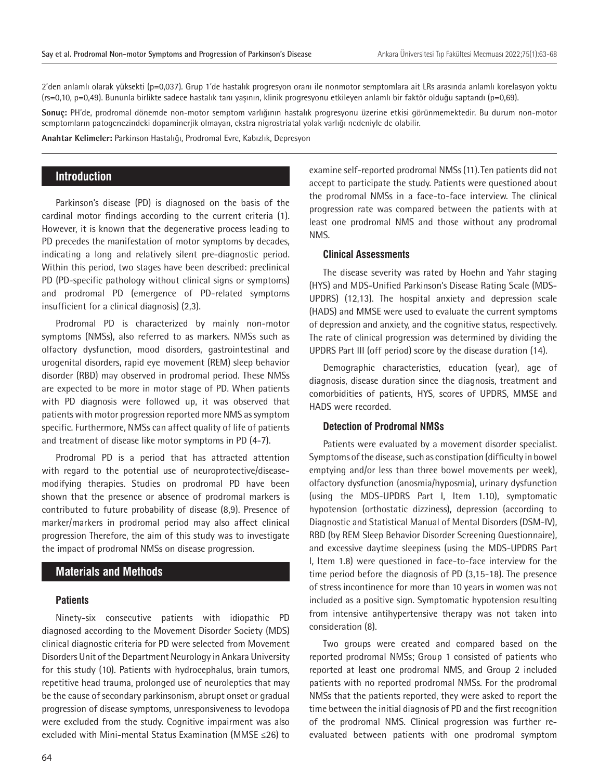2'den anlamlı olarak yüksekti (p=0,037). Grup 1'de hastalık progresyon oranı ile nonmotor semptomlara ait LRs arasında anlamlı korelasyon yoktu (rs=0,10, p=0,49). Bununla birlikte sadece hastalık tanı yaşının, klinik progresyonu etkileyen anlamlı bir faktör olduğu saptandı (p=0,69).

**Sonuç:** PH'de, prodromal dönemde non-motor semptom varlığının hastalık progresyonu üzerine etkisi görünmemektedir. Bu durum non-motor semptomların patogenezindeki dopaminerjik olmayan, ekstra nigrostriatal yolak varlığı nedeniyle de olabilir.

**Anahtar Kelimeler:** Parkinson Hastalığı, Prodromal Evre, Kabızlık, Depresyon

# **Introduction**

Parkinson's disease (PD) is diagnosed on the basis of the cardinal motor findings according to the current criteria (1). However, it is known that the degenerative process leading to PD precedes the manifestation of motor symptoms by decades, indicating a long and relatively silent pre-diagnostic period. Within this period, two stages have been described: preclinical PD (PD-specific pathology without clinical signs or symptoms) and prodromal PD (emergence of PD-related symptoms insufficient for a clinical diagnosis) (2,3).

Prodromal PD is characterized by mainly non-motor symptoms (NMSs), also referred to as markers. NMSs such as olfactory dysfunction, mood disorders, gastrointestinal and urogenital disorders, rapid eye movement (REM) sleep behavior disorder (RBD) may observed in prodromal period. These NMSs are expected to be more in motor stage of PD. When patients with PD diagnosis were followed up, it was observed that patients with motor progression reported more NMS as symptom specific. Furthermore, NMSs can affect quality of life of patients and treatment of disease like motor symptoms in PD (4-7).

Prodromal PD is a period that has attracted attention with regard to the potential use of neuroprotective/diseasemodifying therapies. Studies on prodromal PD have been shown that the presence or absence of prodromal markers is contributed to future probability of disease (8,9). Presence of marker/markers in prodromal period may also affect clinical progression Therefore, the aim of this study was to investigate the impact of prodromal NMSs on disease progression.

#### **Materials and Methods**

#### **Patients**

Ninety-six consecutive patients with idiopathic PD diagnosed according to the Movement Disorder Society (MDS) clinical diagnostic criteria for PD were selected from Movement Disorders Unit of the Department Neurology in Ankara University for this study (10). Patients with hydrocephalus, brain tumors, repetitive head trauma, prolonged use of neuroleptics that may be the cause of secondary parkinsonism, abrupt onset or gradual progression of disease symptoms, unresponsiveness to levodopa were excluded from the study. Cognitive impairment was also excluded with Mini-mental Status Examination (MMSE ≤26) to

examine self-reported prodromal NMSs (11). Ten patients did not accept to participate the study. Patients were questioned about the prodromal NMSs in a face-to-face interview. The clinical progression rate was compared between the patients with at least one prodromal NMS and those without any prodromal NMS.

#### **Clinical Assessments**

The disease severity was rated by Hoehn and Yahr staging (HYS) and MDS-Unified Parkinson's Disease Rating Scale (MDS-UPDRS) (12,13). The hospital anxiety and depression scale (HADS) and MMSE were used to evaluate the current symptoms of depression and anxiety, and the cognitive status, respectively. The rate of clinical progression was determined by dividing the UPDRS Part III (off period) score by the disease duration (14).

Demographic characteristics, education (year), age of diagnosis, disease duration since the diagnosis, treatment and comorbidities of patients, HYS, scores of UPDRS, MMSE and HADS were recorded.

### **Detection of Prodromal NMSs**

Patients were evaluated by a movement disorder specialist. Symptoms of the disease, such as constipation (difficulty in bowel emptying and/or less than three bowel movements per week), olfactory dysfunction (anosmia/hyposmia), urinary dysfunction (using the MDS-UPDRS Part I, Item 1.10), symptomatic hypotension (orthostatic dizziness), depression (according to Diagnostic and Statistical Manual of Mental Disorders (DSM-IV), RBD (by REM Sleep Behavior Disorder Screening Questionnaire), and excessive daytime sleepiness (using the MDS-UPDRS Part I, Item 1.8) were questioned in face-to-face interview for the time period before the diagnosis of PD (3,15-18). The presence of stress incontinence for more than 10 years in women was not included as a positive sign. Symptomatic hypotension resulting from intensive antihypertensive therapy was not taken into consideration (8).

Two groups were created and compared based on the reported prodromal NMSs; Group 1 consisted of patients who reported at least one prodromal NMS, and Group 2 included patients with no reported prodromal NMSs. For the prodromal NMSs that the patients reported, they were asked to report the time between the initial diagnosis of PD and the first recognition of the prodromal NMS. Clinical progression was further reevaluated between patients with one prodromal symptom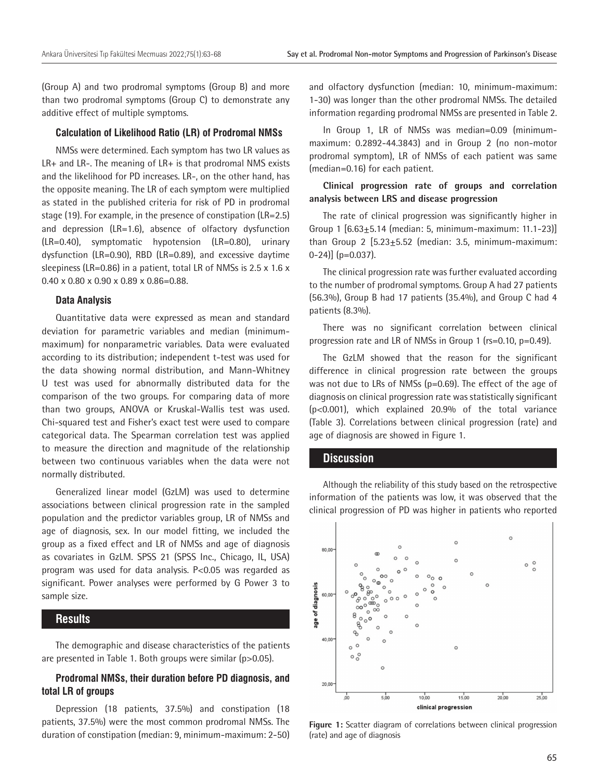(Group A) and two prodromal symptoms (Group B) and more than two prodromal symptoms (Group C) to demonstrate any additive effect of multiple symptoms.

#### **Calculation of Likelihood Ratio (LR) of Prodromal NMSs**

NMSs were determined. Each symptom has two LR values as LR+ and LR-. The meaning of LR+ is that prodromal NMS exists and the likelihood for PD increases. LR-, on the other hand, has the opposite meaning. The LR of each symptom were multiplied as stated in the published criteria for risk of PD in prodromal stage (19). For example, in the presence of constipation (LR=2.5) and depression (LR=1.6), absence of olfactory dysfunction (LR=0.40), symptomatic hypotension (LR=0.80), urinary dysfunction (LR=0.90), RBD (LR=0.89), and excessive daytime sleepiness (LR=0.86) in a patient, total LR of NMSs is 2.5 x 1.6 x 0.40 x 0.80 x 0.90 x 0.89 x 0.86=0.88.

#### **Data Analysis**

Quantitative data were expressed as mean and standard deviation for parametric variables and median (minimummaximum) for nonparametric variables. Data were evaluated according to its distribution; independent t-test was used for the data showing normal distribution, and Mann-Whitney U test was used for abnormally distributed data for the comparison of the two groups. For comparing data of more than two groups, ANOVA or Kruskal-Wallis test was used. Chi-squared test and Fisher's exact test were used to compare categorical data. The Spearman correlation test was applied to measure the direction and magnitude of the relationship between two continuous variables when the data were not normally distributed.

Generalized linear model (GzLM) was used to determine associations between clinical progression rate in the sampled population and the predictor variables group, LR of NMSs and age of diagnosis, sex. In our model fitting, we included the group as a fixed effect and LR of NMSs and age of diagnosis as covariates in GzLM. SPSS 21 (SPSS Inc., Chicago, IL, USA) program was used for data analysis. P<0.05 was regarded as significant. Power analyses were performed by G Power 3 to sample size.

# **Results**

The demographic and disease characteristics of the patients are presented in Table 1. Both groups were similar (p>0.05).

# **Prodromal NMSs, their duration before PD diagnosis, and total LR of groups**

Depression (18 patients, 37.5%) and constipation (18 patients, 37.5%) were the most common prodromal NMSs. The duration of constipation (median: 9, minimum-maximum: 2-50) and olfactory dysfunction (median: 10, minimum-maximum: 1-30) was longer than the other prodromal NMSs. The detailed information regarding prodromal NMSs are presented in Table 2.

In Group 1, LR of NMSs was median=0.09 (minimummaximum: 0.2892-44.3843) and in Group 2 (no non-motor prodromal symptom), LR of NMSs of each patient was same (median=0.16) for each patient.

# **Clinical progression rate of groups and correlation analysis between LRS and disease progression**

The rate of clinical progression was significantly higher in Group 1 [6.63±5.14 (median: 5, minimum-maximum: 11.1-23)] than Group 2  $[5.23 \pm 5.52$  (median: 3.5, minimum-maximum: 0-24)] (p=0.037).

The clinical progression rate was further evaluated according to the number of prodromal symptoms. Group A had 27 patients (56.3%), Group B had 17 patients (35.4%), and Group C had 4 patients (8.3%).

There was no significant correlation between clinical progression rate and LR of NMSs in Group 1 (rs=0.10, p=0.49).

The GzLM showed that the reason for the significant difference in clinical progression rate between the groups was not due to LRs of NMSs (p=0.69). The effect of the age of diagnosis on clinical progression rate was statistically significant (p<0.001), which explained 20.9% of the total variance (Table 3). Correlations between clinical progression (rate) and age of diagnosis are showed in Figure 1.

### **Discussion**

Although the reliability of this study based on the retrospective information of the patients was low, it was observed that the clinical progression of PD was higher in patients who reported



**Figure 1:** Scatter diagram of correlations between clinical progression (rate) and age of diagnosis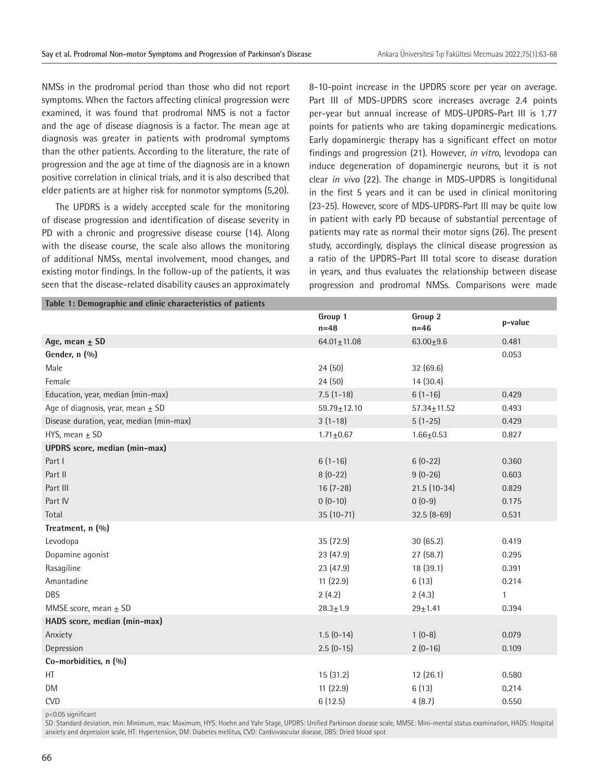NMSs in the prodromal period than those who did not report symptoms. When the factors affecting clinical progression were examined, it was found that prodromal NMS is not a factor and the age of disease diagnosis is a factor. The mean age at diagnosis was greater in patients with prodromal symptoms than the other patients. According to the literature, the rate of progression and the age at time of the diagnosis are in a known positive correlation in clinical trials, and it is also described that elder patients are at higher risk for nonmotor symptoms (5,20).

The UPDRS is a widely accepted scale for the monitoring of disease progression and identification of disease severity in PD with a chronic and progressive disease course (14). Along with the disease course, the scale also allows the monitoring of additional NMSs, mental involvement, mood changes, and existing motor findings. In the follow-up of the patients, it was seen that the disease-related disability causes an approximately 8-10-point increase in the UPDRS score per year on average. Part III of MDS-UPDRS score increases average 2.4 points per-year but annual increase of MDS-UPDRS-Part III is 1.77 points for patients who are taking dopaminergic medications. Early dopaminergic therapy has a significant effect on motor findings and progression (21). However, *in vitro*, levodopa can induce degeneration of dopaminergic neurons, but it is not clear *in vivo* (22). The change in MDS-UPDRS is longitidunal in the first 5 years and it can be used in clinical monitoring (23-25). However, score of MDS-UPDRS-Part III may be quite low in patient with early PD because of substantial percentage of patients may rate as normal their motor signs (26). The present study, accordingly, displays the clinical disease progression as a ratio of the UPDRS-Part III total score to disease duration in years, and thus evaluates the relationship between disease progression and prodromal NMSs. Comparisons were made

| Table 1: Demographic and clinic characteristics of patients |                   |                   |              |  |  |
|-------------------------------------------------------------|-------------------|-------------------|--------------|--|--|
|                                                             | Group 1<br>$n=48$ | Group 2<br>$n=46$ | p-value      |  |  |
| Age, mean $\pm$ SD                                          | $64.01 \pm 11.08$ | $63.00 + 9.6$     | 0.481        |  |  |
| Gender, n (%)                                               |                   |                   | 0.053        |  |  |
| Male                                                        | 24(50)            | 32(69.6)          |              |  |  |
| Female                                                      | 24(50)            | 14(30.4)          |              |  |  |
| Education, year, median (min-max)                           | $7.5(1-18)$       | $6(1-16)$         | 0.429        |  |  |
| Age of diagnosis, year, mean $\pm$ SD                       | $59.79 \pm 12.10$ | $57.34 \pm 11.52$ | 0.493        |  |  |
| Disease duration, year, median (min-max)                    | $3(1-18)$         | $5(1-25)$         | 0.429        |  |  |
| HYS, mean $\pm$ SD                                          | $1.71 \pm 0.67$   | $1.66 + 0.53$     | 0.827        |  |  |
| <b>UPDRS</b> score, median (min-max)                        |                   |                   |              |  |  |
| Part I                                                      | $6(1-16)$         | $6(0-22)$         | 0.360        |  |  |
| Part II                                                     | $8(0-22)$         | $9(0-26)$         | 0.603        |  |  |
| Part III                                                    | $16(7-28)$        | $21.5(10-34)$     | 0.829        |  |  |
| Part IV                                                     | $0(0-10)$         | $0(0-9)$          | 0.175        |  |  |
| Total                                                       | $35(10-71)$       | $32.5(8-69)$      | 0.531        |  |  |
| Treatment, n (%)                                            |                   |                   |              |  |  |
| Levodopa                                                    | 35 (72.9)         | 30(65.2)          | 0.419        |  |  |
| Dopamine agonist                                            | 23 (47.9)         | 27(58.7)          | 0.295        |  |  |
| Rasagiline                                                  | 23 (47.9)         | 18(39.1)          | 0.391        |  |  |
| Amantadine                                                  | 11(22.9)          | 6(13)             | 0.214        |  |  |
| DBS                                                         | 2(4.2)            | 2(4.3)            | $\mathbf{1}$ |  |  |
| MMSE score, mean $\pm$ SD                                   | $28.3 \pm 1.9$    | $29 + 1.41$       | 0.394        |  |  |
| HADS score, median (min-max)                                |                   |                   |              |  |  |
| Anxiety                                                     | $1.5(0-14)$       | $1(0-8)$          | 0.079        |  |  |
| Depression                                                  | $2.5(0-15)$       | $2(0-16)$         | 0.109        |  |  |
| Co-morbidities, n (%)                                       |                   |                   |              |  |  |
| HT                                                          | 15(31.2)          | 12(26.1)          | 0.580        |  |  |
| <b>DM</b>                                                   | 11(22.9)          | 6(13)             | 0.214        |  |  |
| <b>CVD</b>                                                  | 6(12.5)           | 4(8.7)            | 0.550        |  |  |

p<0.05 significant

SD: Standard deviation, min: Minimum, max: Maximum, HYS: Hoehn and Yahr Stage, UPDRS: Unified Parkinson disease scale, MMSE: Mini-mental status examination, HADS: Hospital anxiety and depression scale, HT: Hypertension, DM: Diabetes mellitus, CVD: Cardiovascular disease, DBS: Dried blood spot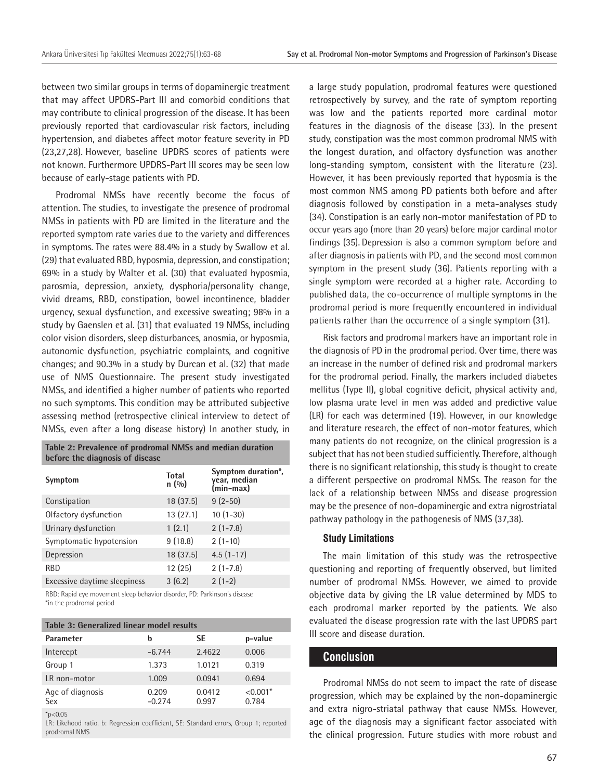between two similar groups in terms of dopaminergic treatment that may affect UPDRS-Part III and comorbid conditions that may contribute to clinical progression of the disease. It has been previously reported that cardiovascular risk factors, including hypertension, and diabetes affect motor feature severity in PD (23,27,28). However, baseline UPDRS scores of patients were not known. Furthermore UPDRS-Part III scores may be seen low because of early-stage patients with PD.

Prodromal NMSs have recently become the focus of attention. The studies, to investigate the presence of prodromal NMSs in patients with PD are limited in the literature and the reported symptom rate varies due to the variety and differences in symptoms. The rates were 88.4% in a study by Swallow et al. (29) that evaluated RBD, hyposmia, depression, and constipation; 69% in a study by Walter et al. (30) that evaluated hyposmia, parosmia, depression, anxiety, dysphoria/personality change, vivid dreams, RBD, constipation, bowel incontinence, bladder urgency, sexual dysfunction, and excessive sweating; 98% in a study by Gaenslen et al. (31) that evaluated 19 NMSs, including color vision disorders, sleep disturbances, anosmia, or hyposmia, autonomic dysfunction, psychiatric complaints, and cognitive changes; and 90.3% in a study by Durcan et al. (32) that made use of NMS Questionnaire. The present study investigated NMSs, and identified a higher number of patients who reported no such symptoms. This condition may be attributed subjective assessing method (retrospective clinical interview to detect of NMSs, even after a long disease history) In another study, in

| before the diagnosis of disease |                       |                                                 |  |  |  |
|---------------------------------|-----------------------|-------------------------------------------------|--|--|--|
| Symptom                         | <b>Total</b><br>n(90) | Symptom duration*,<br>year, median<br>(min-max) |  |  |  |
| Constipation                    | 18(37.5)              | $9(2-50)$                                       |  |  |  |
| Olfactory dysfunction           | 13(27.1)              | $10(1-30)$                                      |  |  |  |
| Urinary dysfunction             | 1(2.1)                | $2(1-7.8)$                                      |  |  |  |
| Symptomatic hypotension         | 9(18.8)               | $2(1-10)$                                       |  |  |  |
| Depression                      | 18 (37.5)             | $4.5(1-17)$                                     |  |  |  |
| <b>RBD</b>                      | 12(25)                | $2(1-7.8)$                                      |  |  |  |
| Excessive daytime sleepiness    | 3(6.2)                | $2(1-2)$                                        |  |  |  |

**Table 2: Prevalence of prodromal NMSs and median duration** 

RBD: Rapid eye movement sleep behavior disorder, PD: Parkinson's disease \*in the prodromal period

| Table 3: Generalized linear model results |                   |                 |                     |  |  |  |
|-------------------------------------------|-------------------|-----------------|---------------------|--|--|--|
| Parameter                                 | b                 | SE              | p-value             |  |  |  |
| Intercept                                 | $-6.744$          | 2.4622          | 0.006               |  |  |  |
| Group 1                                   | 1.373             | 1.0121          | 0.319               |  |  |  |
| LR non-motor                              | 1.009             | 0.0941          | 0.694               |  |  |  |
| Age of diagnosis<br>Sex                   | 0.209<br>$-0.274$ | 0.0412<br>0.997 | $< 0.001*$<br>0.784 |  |  |  |
| $*_{p<0.05}$                              |                   |                 |                     |  |  |  |

LR: Likehood ratio, b: Regression coefficient, SE: Standard errors, Group 1; reported prodromal NMS

a large study population, prodromal features were questioned retrospectively by survey, and the rate of symptom reporting was low and the patients reported more cardinal motor features in the diagnosis of the disease (33). In the present study, constipation was the most common prodromal NMS with the longest duration, and olfactory dysfunction was another long-standing symptom, consistent with the literature (23). However, it has been previously reported that hyposmia is the most common NMS among PD patients both before and after diagnosis followed by constipation in a meta-analyses study (34). Constipation is an early non-motor manifestation of PD to occur years ago (more than 20 years) before major cardinal motor findings (35). Depression is also a common symptom before and after diagnosis in patients with PD, and the second most common symptom in the present study (36). Patients reporting with a single symptom were recorded at a higher rate. According to published data, the co-occurrence of multiple symptoms in the prodromal period is more frequently encountered in individual patients rather than the occurrence of a single symptom (31).

Risk factors and prodromal markers have an important role in the diagnosis of PD in the prodromal period. Over time, there was an increase in the number of defined risk and prodromal markers for the prodromal period. Finally, the markers included diabetes mellitus (Type II), global cognitive deficit, physical activity and, low plasma urate level in men was added and predictive value (LR) for each was determined (19). However, in our knowledge and literature research, the effect of non-motor features, which many patients do not recognize, on the clinical progression is a subject that has not been studied sufficiently. Therefore, although there is no significant relationship, this study is thought to create a different perspective on prodromal NMSs. The reason for the lack of a relationship between NMSs and disease progression may be the presence of non-dopaminergic and extra nigrostriatal pathway pathology in the pathogenesis of NMS (37,38).

# **Study Limitations**

The main limitation of this study was the retrospective questioning and reporting of frequently observed, but limited number of prodromal NMSs. However, we aimed to provide objective data by giving the LR value determined by MDS to each prodromal marker reported by the patients. We also evaluated the disease progression rate with the last UPDRS part III score and disease duration.

# **Conclusion**

Prodromal NMSs do not seem to impact the rate of disease progression, which may be explained by the non-dopaminergic and extra nigro-striatal pathway that cause NMSs. However, age of the diagnosis may a significant factor associated with the clinical progression. Future studies with more robust and